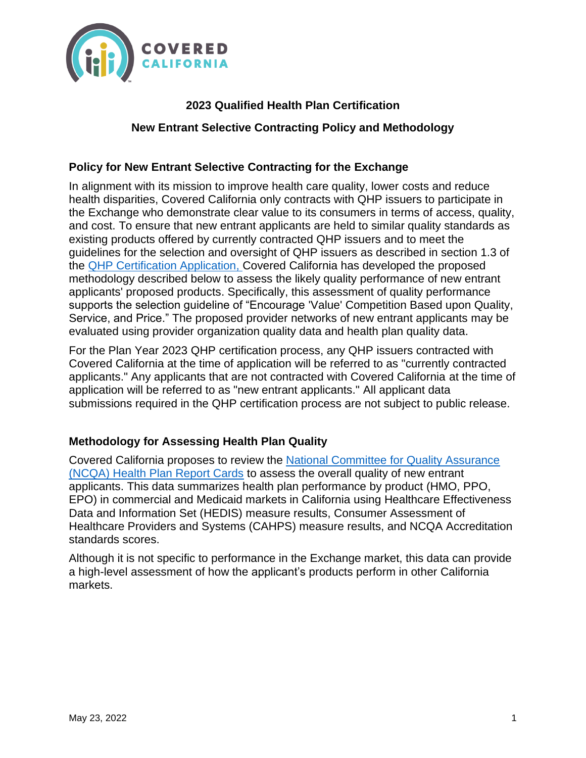

# **2023 Qualified Health Plan Certification**

### **New Entrant Selective Contracting Policy and Methodology**

## **Policy for New Entrant Selective Contracting for the Exchange**

In alignment with its mission to improve health care quality, lower costs and reduce health disparities, Covered California only contracts with QHP issuers to participate in the Exchange who demonstrate clear value to its consumers in terms of access, quality, and cost. To ensure that new entrant applicants are held to similar quality standards as existing products offered by currently contracted QHP issuers and to meet the guidelines for the selection and oversight of QHP issuers as described in section 1.3 of the [QHP Certification Application,](https://hbex.coveredca.com/stakeholders/plan-management/qhp-certification/downloads/Certification-Application-Qualified-Health-Plan-Individual-Market-Plan-Year-2023_CLEAN-FINAL.pdf) Covered California has developed the proposed methodology described below to assess the likely quality performance of new entrant applicants' proposed products. Specifically, this assessment of quality performance supports the selection guideline of "Encourage 'Value' Competition Based upon Quality, Service, and Price." The proposed provider networks of new entrant applicants may be evaluated using provider organization quality data and health plan quality data.

For the Plan Year 2023 QHP certification process, any QHP issuers contracted with Covered California at the time of application will be referred to as "currently contracted applicants." Any applicants that are not contracted with Covered California at the time of application will be referred to as "new entrant applicants." All applicant data submissions required in the QHP certification process are not subject to public release.

### **Methodology for Assessing Health Plan Quality**

Covered California proposes to review the [National Committee for](https://reportcards.ncqa.org/health-plans) Quality Assurance (NCQA) [Health Plan Report Cards](https://reportcards.ncqa.org/health-plans) to assess the overall quality of new entrant applicants. This data summarizes health plan performance by product (HMO, PPO, EPO) in commercial and Medicaid markets in California using Healthcare Effectiveness Data and Information Set (HEDIS) measure results, Consumer Assessment of Healthcare Providers and Systems (CAHPS) measure results, and NCQA Accreditation standards scores.

Although it is not specific to performance in the Exchange market, this data can provide a high-level assessment of how the applicant's products perform in other California markets.